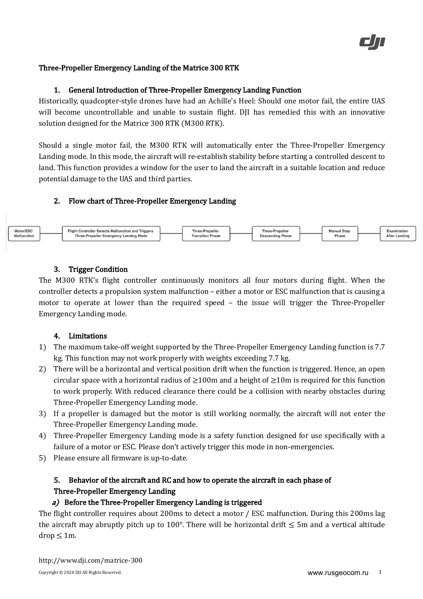#### Three-Propeller Emergency Landing of the Matrice 300 RTK

#### 1. General Introduction of Three-Propeller Emergency Landing Function

Historically, quadcopter-style drones have had an Achille's Heel: Should one motor fail, the entire UAS will become uncontrollable and unable to sustain flight. DJI has remedied this with an innovative solution designed for the Matrice 300 RTK (M300 RTK).

Should a single motor fail, the M300 RTK will automatically enter the Three-Propeller Emergency Landing mode. In this mode, the aircraft will re-establish stability before starting a controlled descent to land. This function provides a window for the user to land the aircraft in a suitable location and reduce potential damage to the UAS and third parties.

#### 2. Flow chart of Three-Propeller Emergency Landing



### 3. Trigger Condition

The M300 RTK's flight controller continuously monitors all four motors during flight. When the controller detects a propulsion system malfunction – either a motor or ESC malfunction that is causing a motor to operate at lower than the required speed - the issue will trigger the Three-Propeller Emergency Landing mode. 

#### 4. Limitations

- 1) The maximum take-off weight supported by the Three-Propeller Emergency Landing function is 7.7 kg. This function may not work properly with weights exceeding 7.7 kg.
- 2) There will be a horizontal and vertical position drift when the function is triggered. Hence, an open circular space with a horizontal radius of  $\geq$ 100m and a height of  $\geq$ 10m is required for this function to work properly. With reduced clearance there could be a collision with nearby obstacles during Three-Propeller Emergency Landing mode.
- 3) If a propeller is damaged but the motor is still working normally, the aircraft will not enter the Three-Propeller Emergency Landing mode.
- 4) Three-Propeller Emergency Landing mode is a safety function designed for use specifically with a failure of a motor or ESC. Please don't actively trigger this mode in non-emergencies.
- 5) Please ensure all firmware is up-to-date.

# 5. Behavior of the aircraft and RC and how to operate the aircraft in each phase of Three-Propeller Emergency Landing

#### a) Before the Three-Propeller Emergency Landing is triggered

The flight controller requires about 200ms to detect a motor / ESC malfunction. During this 200ms lag the aircraft may abruptly pitch up to 100°. There will be horizontal drift  $\leq$  5m and a vertical altitude  $drop \leq 1m$ .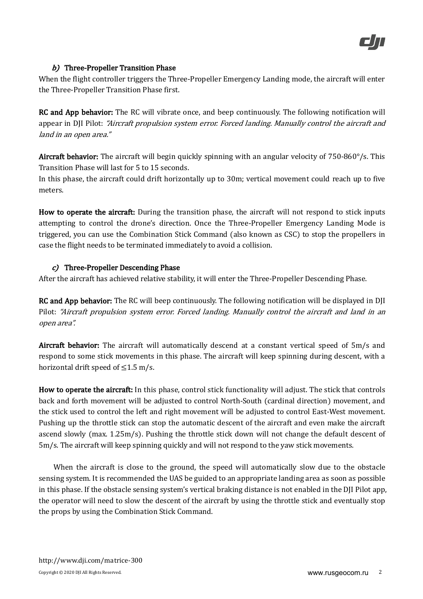## $b)$  Three-Propeller Transition Phase

When the flight controller triggers the Three-Propeller Emergency Landing mode, the aircraft will enter the Three-Propeller Transition Phase first.

RC and App behavior: The RC will vibrate once, and beep continuously. The following notification will appear in DJI Pilot: *"Aircraft propulsion system error. Forced landing. Manually control the aircraft and* land in an open area."

Aircraft behavior: The aircraft will begin quickly spinning with an angular velocity of  $750-860^{\circ}/s$ . This Transition Phase will last for 5 to 15 seconds.

In this phase, the aircraft could drift horizontally up to 30m; vertical movement could reach up to five meters.

How to operate the aircraft: During the transition phase, the aircraft will not respond to stick inputs attempting to control the drone's direction. Once the Three-Propeller Emergency Landing Mode is triggered, you can use the Combination Stick Command (also known as CSC) to stop the propellers in case the flight needs to be terminated immediately to avoid a collision.

# $c$ ) Three-Propeller Descending Phase

After the aircraft has achieved relative stability, it will enter the Three-Propeller Descending Phase.

**RC** and App behavior: The RC will beep continuously. The following notification will be displayed in DJI Pilot: "Aircraft propulsion system error. Forced landing. Manually control the aircraft and land in an open area".

Aircraft behavior: The aircraft will automatically descend at a constant vertical speed of 5m/s and respond to some stick movements in this phase. The aircraft will keep spinning during descent, with a horizontal drift speed of  $\leq$ 1.5 m/s.

How to operate the aircraft: In this phase, control stick functionality will adjust. The stick that controls back and forth movement will be adjusted to control North-South (cardinal direction) movement, and the stick used to control the left and right movement will be adjusted to control East-West movement. Pushing up the throttle stick can stop the automatic descent of the aircraft and even make the aircraft ascend slowly (max.  $1.25 \text{m/s}$ ). Pushing the throttle stick down will not change the default descent of  $5m/s$ . The aircraft will keep spinning quickly and will not respond to the yaw stick movements.

When the aircraft is close to the ground, the speed will automatically slow due to the obstacle sensing system. It is recommended the UAS be guided to an appropriate landing area as soon as possible in this phase. If the obstacle sensing system's vertical braking distance is not enabled in the DJI Pilot app, the operator will need to slow the descent of the aircraft by using the throttle stick and eventually stop the props by using the Combination Stick Command.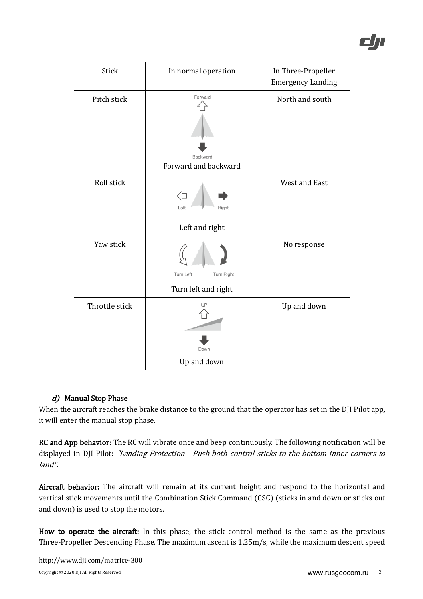| Stick          | In normal operation     | In Three-Propeller<br><b>Emergency Landing</b> |
|----------------|-------------------------|------------------------------------------------|
| Pitch stick    | Forward                 | North and south                                |
|                |                         |                                                |
|                |                         |                                                |
|                | Backward                |                                                |
|                | Forward and backward    |                                                |
| Roll stick     | Right<br>Left           | West and East                                  |
|                | Left and right          |                                                |
| Yaw stick      | Turn Left<br>Turn Right | No response                                    |
|                | Turn left and right     |                                                |
| Throttle stick | UP                      | Up and down                                    |
|                | Down                    |                                                |
|                | Up and down             |                                                |

# d) Manual Stop Phase

When the aircraft reaches the brake distance to the ground that the operator has set in the DJI Pilot app, it will enter the manual stop phase.

RC and App behavior: The RC will vibrate once and beep continuously. The following notification will be displayed in DJI Pilot: "Landing Protection - Push both control sticks to the bottom inner corners to land".

Aircraft behavior: The aircraft will remain at its current height and respond to the horizontal and vertical stick movements until the Combination Stick Command (CSC) (sticks in and down or sticks out and down) is used to stop the motors.

How to operate the aircraft: In this phase, the stick control method is the same as the previous Three-Propeller Descending Phase. The maximum ascent is 1.25m/s, while the maximum descent speed